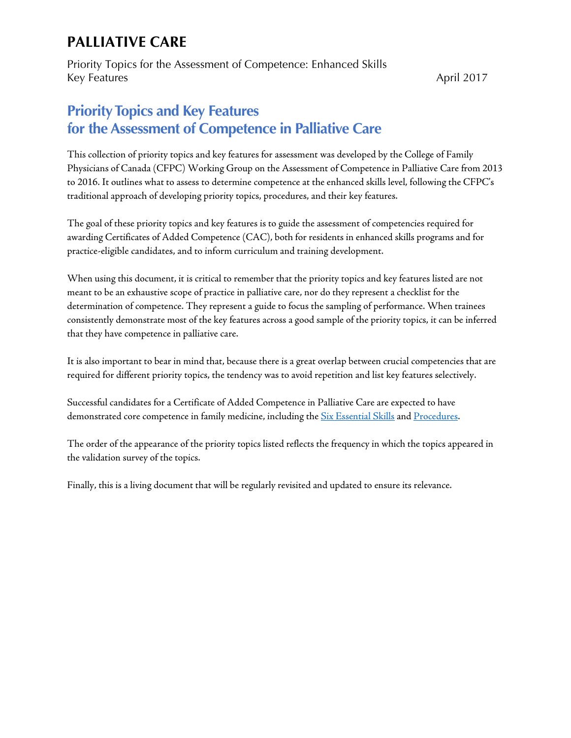Priority Topics for the Assessment of Competence: Enhanced Skills Key Features April 2017

### **Priority Topics and Key Features for the Assessment of Competence in Palliative Care**

This collection of priority topics and key features for assessment was developed by the College of Family Physicians of Canada (CFPC) Working Group on the Assessment of Competence in Palliative Care from 2013 to 2016. It outlines what to assess to determine competence at the enhanced skills level, following the CFPC's traditional approach of developing priority topics, procedures, and their key features.

The goal of these priority topics and key features is to guide the assessment of competencies required for awarding Certificates of Added Competence (CAC), both for residents in enhanced skills programs and for practice-eligible candidates, and to inform curriculum and training development.

When using this document, it is critical to remember that the priority topics and key features listed are not meant to be an exhaustive scope of practice in palliative care, nor do they represent a checklist for the determination of competence. They represent a guide to focus the sampling of performance. When trainees consistently demonstrate most of the key features across a good sample of the priority topics, it can be inferred that they have competence in palliative care.

It is also important to bear in mind that, because there is a great overlap between crucial competencies that are required for different priority topics, the tendency was to avoid repetition and list key features selectively.

Successful candidates for a Certificate of Added Competence in Palliative Care are expected to have demonstrated core competence in family medicine, including the [Six Essential Skills](http://www.cfpc.ca/uploadedFiles/Education/Part%20II%20Evaluation%20objectives.pdf) an[d Procedures.](http://www.cfpc.ca/uploadedFiles/Education/Certification_in_Family_Medicine_Examination/Definition%20of%20Competence%20Complete%20Document%20with%20skills%20and%20phases.pdf#page=62)

The order of the appearance of the priority topics listed reflects the frequency in which the topics appeared in the validation survey of the topics.

Finally, this is a living document that will be regularly revisited and updated to ensure its relevance.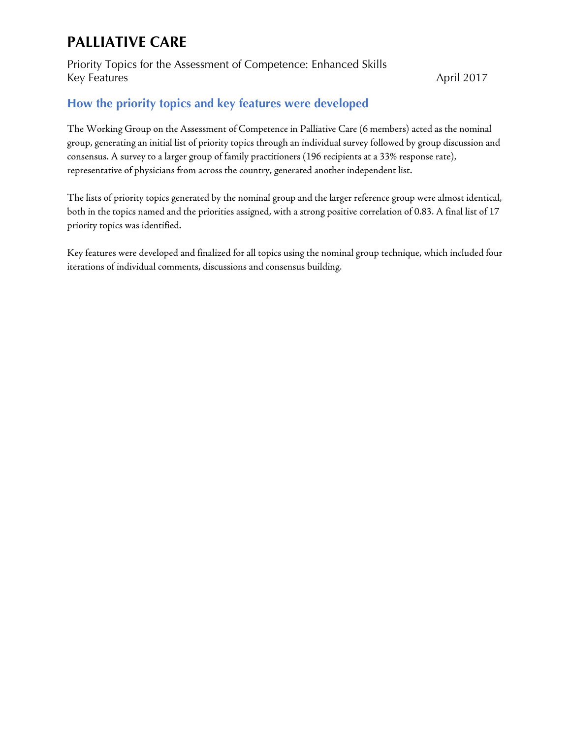Priority Topics for the Assessment of Competence: Enhanced Skills Key Features April 2017

### **How the priority topics and key features were developed**

The Working Group on the Assessment of Competence in Palliative Care (6 members) acted as the nominal group, generating an initial list of priority topics through an individual survey followed by group discussion and consensus. A survey to a larger group of family practitioners (196 recipients at a 33% response rate), representative of physicians from across the country, generated another independent list.

The lists of priority topics generated by the nominal group and the larger reference group were almost identical, both in the topics named and the priorities assigned, with a strong positive correlation of 0.83. A final list of 17 priority topics was identified.

Key features were developed and finalized for all topics using the nominal group technique, which included four iterations of individual comments, discussions and consensus building.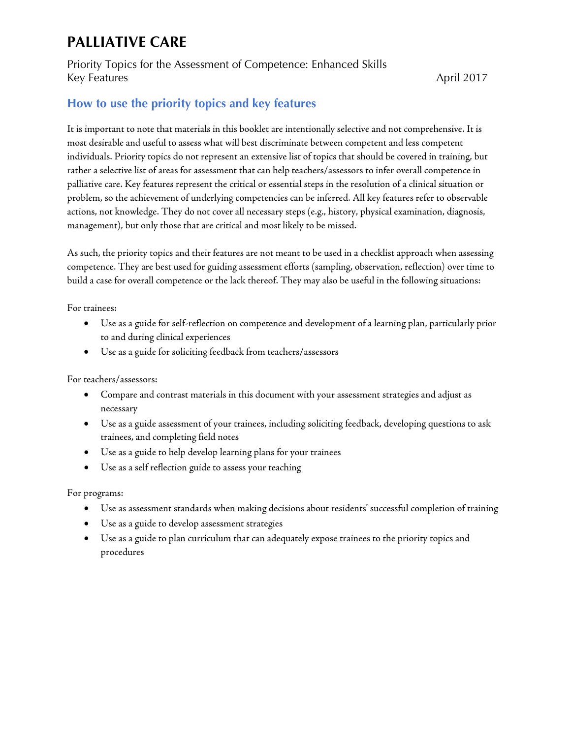#### Priority Topics for the Assessment of Competence: Enhanced Skills Key Features April 2017

### **How to use the priority topics and key features**

It is important to note that materials in this booklet are intentionally selective and not comprehensive. It is most desirable and useful to assess what will best discriminate between competent and less competent individuals. Priority topics do not represent an extensive list of topics that should be covered in training, but rather a selective list of areas for assessment that can help teachers/assessors to infer overall competence in palliative care. Key features represent the critical or essential steps in the resolution of a clinical situation or problem, so the achievement of underlying competencies can be inferred. All key features refer to observable actions, not knowledge. They do not cover all necessary steps (e.g., history, physical examination, diagnosis, management), but only those that are critical and most likely to be missed.

As such, the priority topics and their features are not meant to be used in a checklist approach when assessing competence. They are best used for guiding assessment efforts (sampling, observation, reflection) over time to build a case for overall competence or the lack thereof. They may also be useful in the following situations:

For trainees:

- Use as a guide for self-reflection on competence and development of a learning plan, particularly prior to and during clinical experiences
- Use as a guide for soliciting feedback from teachers/assessors

For teachers/assessors:

- Compare and contrast materials in this document with your assessment strategies and adjust as necessary
- Use as a guide assessment of your trainees, including soliciting feedback, developing questions to ask trainees, and completing field notes
- Use as a guide to help develop learning plans for your trainees
- Use as a self reflection guide to assess your teaching

For programs:

- Use as assessment standards when making decisions about residents' successful completion of training
- Use as a guide to develop assessment strategies
- Use as a guide to plan curriculum that can adequately expose trainees to the priority topics and procedures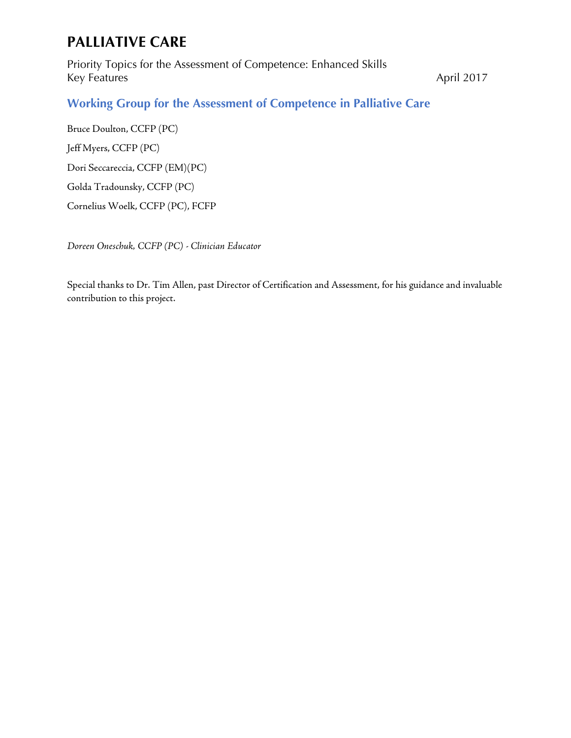Priority Topics for the Assessment of Competence: Enhanced Skills Key Features April 2017

### **Working Group for the Assessment of Competence in Palliative Care**

Bruce Doulton, CCFP (PC) Jeff Myers, CCFP (PC) Dori Seccareccia, CCFP (EM)(PC) Golda Tradounsky, CCFP (PC) Cornelius Woelk, CCFP (PC), FCFP

*Doreen Oneschuk, CCFP (PC) - Clinician Educator*

Special thanks to Dr. Tim Allen, past Director of Certification and Assessment, for his guidance and invaluable contribution to this project.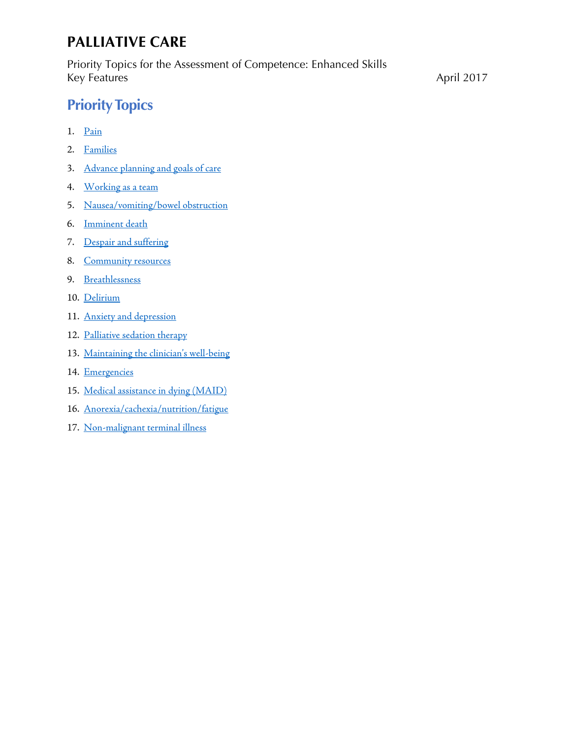Priority Topics for the Assessment of Competence: Enhanced Skills Key Features April 2017

# **Priority Topics**

- 1. [Pain](#page-5-0)
- 2. [Families](#page-6-0)
- 3. [Advance planning and goals of care](#page-7-0)
- 4. [Working as a team](#page-8-0)
- 5. [Nausea/vomiting/bowel obstruction](#page-9-0)
- 6. [Imminent death](#page-10-0)
- 7. [Despair and suffering](#page-11-0)
- 8. [Community resources](#page-12-0)
- 9. [Breathlessness](#page-13-0)
- 10. [Delirium](#page-14-0)
- 11. [Anxiety and depression](#page-15-0)
- 12. [Palliative sedation therapy](#page-16-0)
- 13. Maintaining the [clinician's well-being](#page-17-0)
- 14. [Emergencies](#page-18-0)
- 15. [Medical assistance in dying \(MAID\)](#page-19-0)
- 16. [Anorexia/cachexia/nutrition/fatigue](#page-20-0)
- 17. [Non-malignant terminal illness](#page-21-0)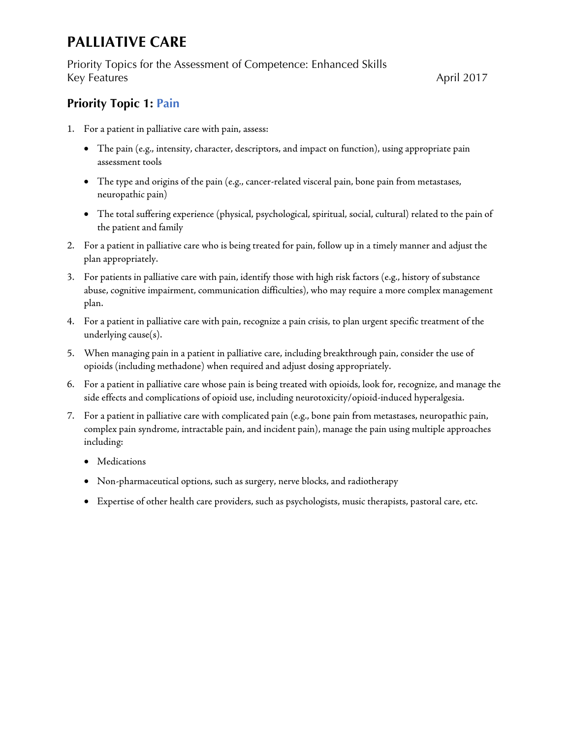Priority Topics for the Assessment of Competence: Enhanced Skills Key Features April 2017

### <span id="page-5-0"></span>**Priority Topic 1: Pain**

- 1. For a patient in palliative care with pain, assess:
	- The pain (e.g., intensity, character, descriptors, and impact on function), using appropriate pain assessment tools
	- The type and origins of the pain (e.g., cancer-related visceral pain, bone pain from metastases, neuropathic pain)
	- The total suffering experience (physical, psychological, spiritual, social, cultural) related to the pain of the patient and family
- 2. For a patient in palliative care who is being treated for pain, follow up in a timely manner and adjust the plan appropriately.
- 3. For patients in palliative care with pain, identify those with high risk factors (e.g., history of substance abuse, cognitive impairment, communication difficulties), who may require a more complex management plan.
- 4. For a patient in palliative care with pain, recognize a pain crisis, to plan urgent specific treatment of the underlying cause(s).
- 5. When managing pain in a patient in palliative care, including breakthrough pain, consider the use of opioids (including methadone) when required and adjust dosing appropriately.
- 6. For a patient in palliative care whose pain is being treated with opioids, look for, recognize, and manage the side effects and complications of opioid use, including neurotoxicity/opioid-induced hyperalgesia.
- 7. For a patient in palliative care with complicated pain (e.g., bone pain from metastases, neuropathic pain, complex pain syndrome, intractable pain, and incident pain), manage the pain using multiple approaches including:
	- Medications
	- Non-pharmaceutical options, such as surgery, nerve blocks, and radiotherapy
	- Expertise of other health care providers, such as psychologists, music therapists, pastoral care, etc.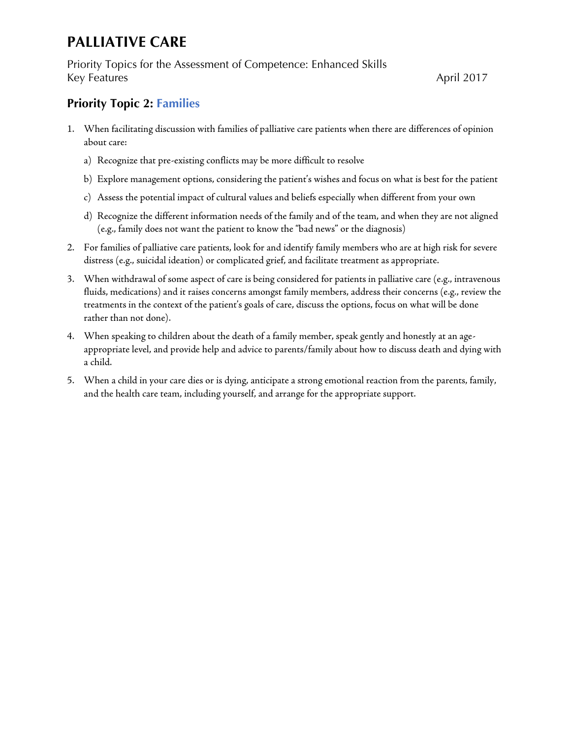Priority Topics for the Assessment of Competence: Enhanced Skills Key Features April 2017

### <span id="page-6-0"></span>**Priority Topic 2: Families**

- 1. When facilitating discussion with families of palliative care patients when there are differences of opinion about care:
	- a) Recognize that pre-existing conflicts may be more difficult to resolve
	- b) Explore management options, considering the patient's wishes and focus on what is best for the patient
	- c) Assess the potential impact of cultural values and beliefs especially when different from your own
	- d) Recognize the different information needs of the family and of the team, and when they are not aligned (e.g., family does not want the patient to know the "bad news" or the diagnosis)
- 2. For families of palliative care patients, look for and identify family members who are at high risk for severe distress (e.g., suicidal ideation) or complicated grief, and facilitate treatment as appropriate.
- 3. When withdrawal of some aspect of care is being considered for patients in palliative care (e.g., intravenous fluids, medications) and it raises concerns amongst family members, address their concerns (e.g., review the treatments in the context of the patient's goals of care, discuss the options, focus on what will be done rather than not done).
- 4. When speaking to children about the death of a family member, speak gently and honestly at an ageappropriate level, and provide help and advice to parents/family about how to discuss death and dying with a child.
- 5. When a child in your care dies or is dying, anticipate a strong emotional reaction from the parents, family, and the health care team, including yourself, and arrange for the appropriate support.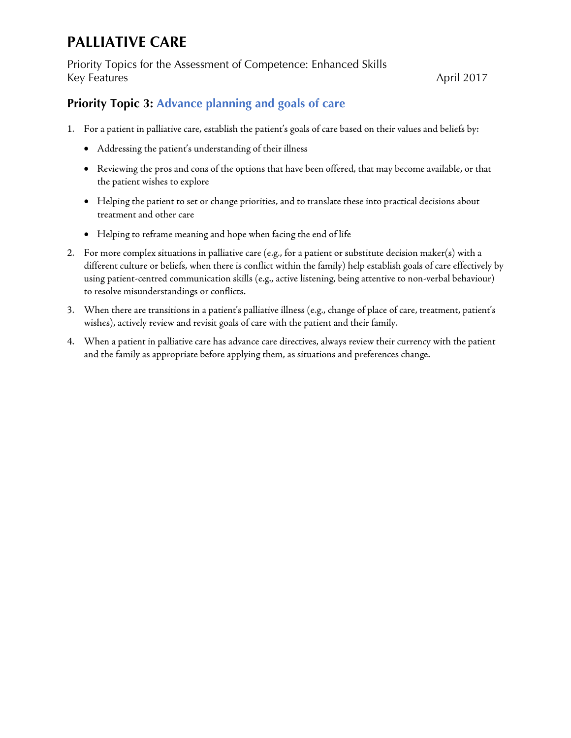Priority Topics for the Assessment of Competence: Enhanced Skills Key Features April 2017

### <span id="page-7-0"></span>**Priority Topic 3: Advance planning and goals of care**

- 1. For a patient in palliative care, establish the patient's goals of care based on their values and beliefs by:
	- Addressing the patient's understanding of their illness
	- Reviewing the pros and cons of the options that have been offered, that may become available, or that the patient wishes to explore
	- Helping the patient to set or change priorities, and to translate these into practical decisions about treatment and other care
	- Helping to reframe meaning and hope when facing the end of life
- 2. For more complex situations in palliative care (e.g., for a patient or substitute decision maker(s) with a different culture or beliefs, when there is conflict within the family) help establish goals of care effectively by using patient-centred communication skills (e.g., active listening, being attentive to non-verbal behaviour) to resolve misunderstandings or conflicts.
- 3. When there are transitions in a patient's palliative illness (e.g., change of place of care, treatment, patient's wishes), actively review and revisit goals of care with the patient and their family.
- 4. When a patient in palliative care has advance care directives, always review their currency with the patient and the family as appropriate before applying them, as situations and preferences change.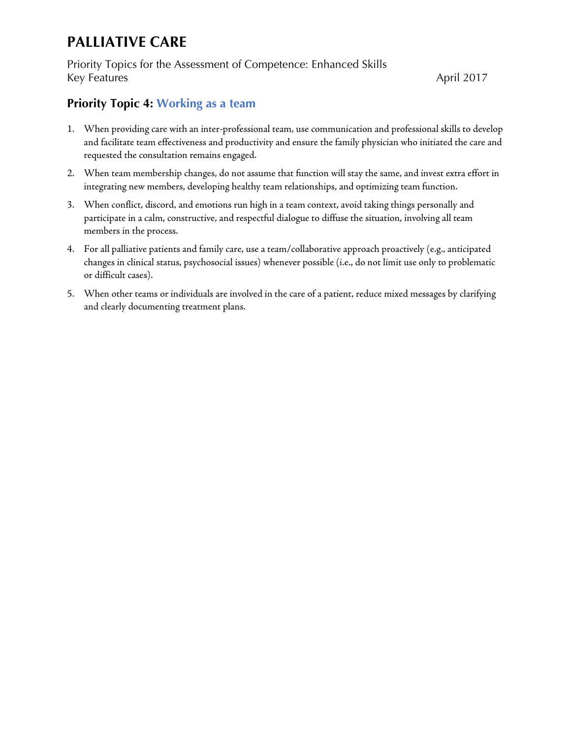Priority Topics for the Assessment of Competence: Enhanced Skills Key Features April 2017

### <span id="page-8-0"></span>**Priority Topic 4: Working as a team**

- 1. When providing care with an inter-professional team, use communication and professional skills to develop and facilitate team effectiveness and productivity and ensure the family physician who initiated the care and requested the consultation remains engaged.
- 2. When team membership changes, do not assume that function will stay the same, and invest extra effort in integrating new members, developing healthy team relationships, and optimizing team function.
- 3. When conflict, discord, and emotions run high in a team context, avoid taking things personally and participate in a calm, constructive, and respectful dialogue to diffuse the situation, involving all team members in the process.
- 4. For all palliative patients and family care, use a team/collaborative approach proactively (e.g., anticipated changes in clinical status, psychosocial issues) whenever possible (i.e., do not limit use only to problematic or difficult cases).
- 5. When other teams or individuals are involved in the care of a patient, reduce mixed messages by clarifying and clearly documenting treatment plans.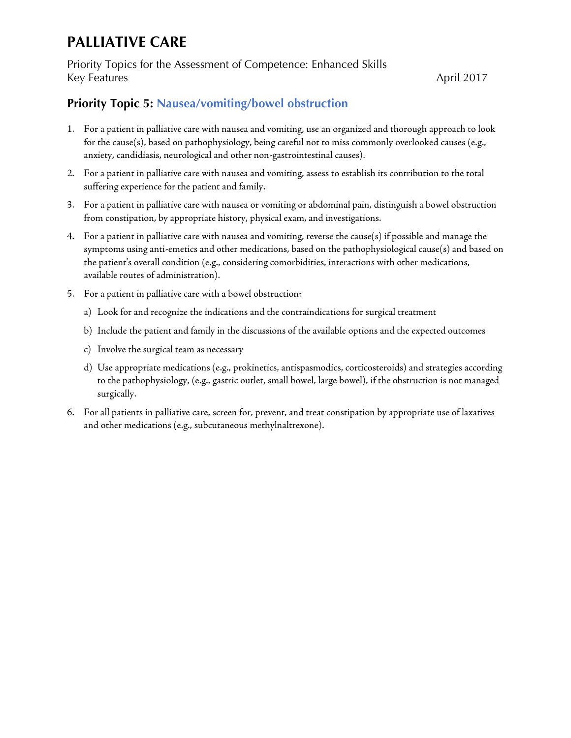Priority Topics for the Assessment of Competence: Enhanced Skills Key Features April 2017

### <span id="page-9-0"></span>**Priority Topic 5: Nausea/vomiting/bowel obstruction**

- 1. For a patient in palliative care with nausea and vomiting, use an organized and thorough approach to look for the cause(s), based on pathophysiology, being careful not to miss commonly overlooked causes (e.g., anxiety, candidiasis, neurological and other non-gastrointestinal causes).
- 2. For a patient in palliative care with nausea and vomiting, assess to establish its contribution to the total suffering experience for the patient and family.
- 3. For a patient in palliative care with nausea or vomiting or abdominal pain, distinguish a bowel obstruction from constipation, by appropriate history, physical exam, and investigations.
- 4. For a patient in palliative care with nausea and vomiting, reverse the cause(s) if possible and manage the symptoms using anti-emetics and other medications, based on the pathophysiological cause(s) and based on the patient's overall condition (e.g., considering comorbidities, interactions with other medications, available routes of administration).
- 5. For a patient in palliative care with a bowel obstruction:
	- a) Look for and recognize the indications and the contraindications for surgical treatment
	- b) Include the patient and family in the discussions of the available options and the expected outcomes
	- c) Involve the surgical team as necessary
	- d) Use appropriate medications (e.g., prokinetics, antispasmodics, corticosteroids) and strategies according to the pathophysiology, (e.g., gastric outlet, small bowel, large bowel), if the obstruction is not managed surgically.
- 6. For all patients in palliative care, screen for, prevent, and treat constipation by appropriate use of laxatives and other medications (e.g., subcutaneous methylnaltrexone).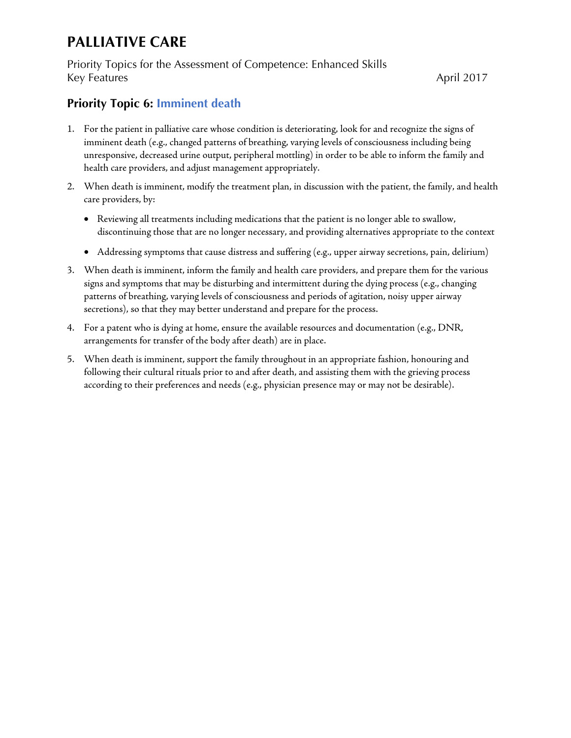Priority Topics for the Assessment of Competence: Enhanced Skills Key Features April 2017

### <span id="page-10-0"></span>**Priority Topic 6: Imminent death**

- 1. For the patient in palliative care whose condition is deteriorating, look for and recognize the signs of imminent death (e.g., changed patterns of breathing, varying levels of consciousness including being unresponsive, decreased urine output, peripheral mottling) in order to be able to inform the family and health care providers, and adjust management appropriately.
- 2. When death is imminent, modify the treatment plan, in discussion with the patient, the family, and health care providers, by:
	- Reviewing all treatments including medications that the patient is no longer able to swallow, discontinuing those that are no longer necessary, and providing alternatives appropriate to the context
	- Addressing symptoms that cause distress and suffering (e.g., upper airway secretions, pain, delirium)
- 3. When death is imminent, inform the family and health care providers, and prepare them for the various signs and symptoms that may be disturbing and intermittent during the dying process (e.g., changing patterns of breathing, varying levels of consciousness and periods of agitation, noisy upper airway secretions), so that they may better understand and prepare for the process.
- 4. For a patent who is dying at home, ensure the available resources and documentation (e.g., DNR, arrangements for transfer of the body after death) are in place.
- 5. When death is imminent, support the family throughout in an appropriate fashion, honouring and following their cultural rituals prior to and after death, and assisting them with the grieving process according to their preferences and needs (e.g., physician presence may or may not be desirable).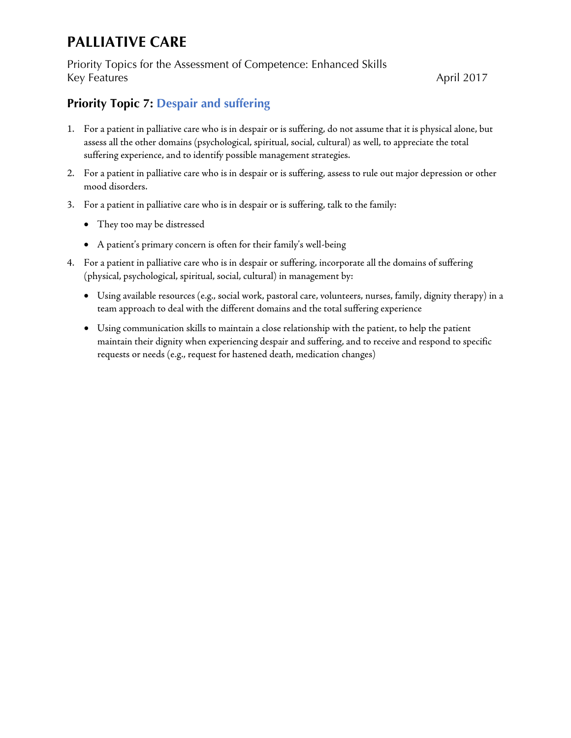Priority Topics for the Assessment of Competence: Enhanced Skills Key Features April 2017

### <span id="page-11-0"></span>**Priority Topic 7: Despair and suffering**

- 1. For a patient in palliative care who is in despair or is suffering, do not assume that it is physical alone, but assess all the other domains (psychological, spiritual, social, cultural) as well, to appreciate the total suffering experience, and to identify possible management strategies.
- 2. For a patient in palliative care who is in despair or is suffering, assess to rule out major depression or other mood disorders.
- 3. For a patient in palliative care who is in despair or is suffering, talk to the family:
	- They too may be distressed
	- A patient's primary concern is often for their family's well-being
- 4. For a patient in palliative care who is in despair or suffering, incorporate all the domains of suffering (physical, psychological, spiritual, social, cultural) in management by:
	- Using available resources (e.g., social work, pastoral care, volunteers, nurses, family, dignity therapy) in a team approach to deal with the different domains and the total suffering experience
	- Using communication skills to maintain a close relationship with the patient, to help the patient maintain their dignity when experiencing despair and suffering, and to receive and respond to specific requests or needs (e.g., request for hastened death, medication changes)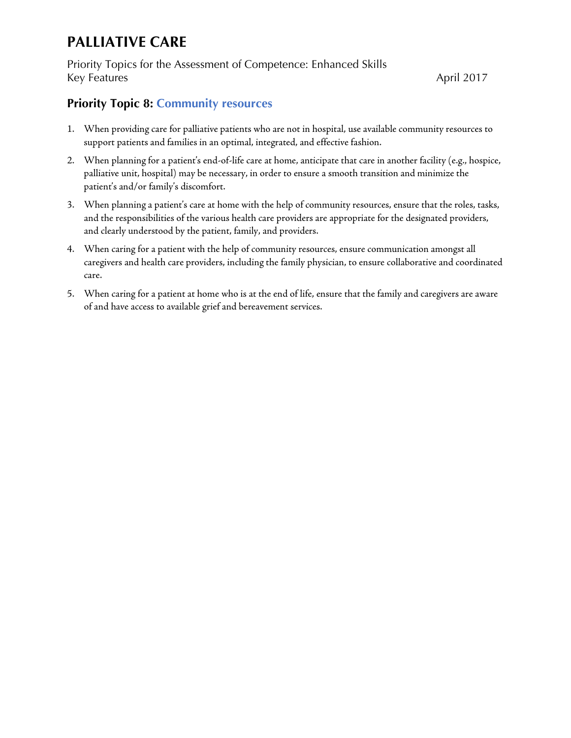Priority Topics for the Assessment of Competence: Enhanced Skills Key Features April 2017

### <span id="page-12-0"></span>**Priority Topic 8: Community resources**

- 1. When providing care for palliative patients who are not in hospital, use available community resources to support patients and families in an optimal, integrated, and effective fashion.
- 2. When planning for a patient's end-of-life care at home, anticipate that care in another facility (e.g., hospice, palliative unit, hospital) may be necessary, in order to ensure a smooth transition and minimize the patient's and/or family's discomfort.
- 3. When planning a patient's care at home with the help of community resources, ensure that the roles, tasks, and the responsibilities of the various health care providers are appropriate for the designated providers, and clearly understood by the patient, family, and providers.
- 4. When caring for a patient with the help of community resources, ensure communication amongst all caregivers and health care providers, including the family physician, to ensure collaborative and coordinated care.
- 5. When caring for a patient at home who is at the end of life, ensure that the family and caregivers are aware of and have access to available grief and bereavement services.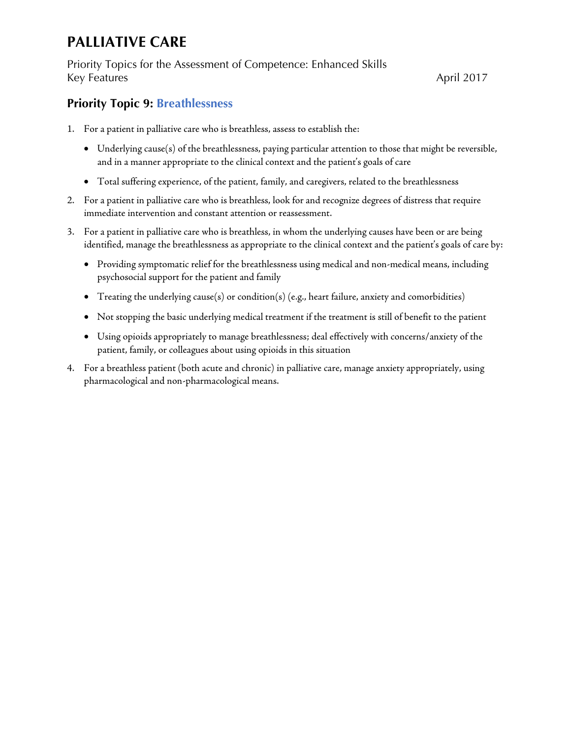Priority Topics for the Assessment of Competence: Enhanced Skills Key Features April 2017

### <span id="page-13-0"></span>**Priority Topic 9: Breathlessness**

- 1. For a patient in palliative care who is breathless, assess to establish the:
	- Underlying cause(s) of the breathlessness, paying particular attention to those that might be reversible, and in a manner appropriate to the clinical context and the patient's goals of care
	- Total suffering experience, of the patient, family, and caregivers, related to the breathlessness
- 2. For a patient in palliative care who is breathless, look for and recognize degrees of distress that require immediate intervention and constant attention or reassessment.
- 3. For a patient in palliative care who is breathless, in whom the underlying causes have been or are being identified, manage the breathlessness as appropriate to the clinical context and the patient's goals of care by:
	- Providing symptomatic relief for the breathlessness using medical and non-medical means, including psychosocial support for the patient and family
	- Treating the underlying cause(s) or condition(s) (e.g., heart failure, anxiety and comorbidities)
	- Not stopping the basic underlying medical treatment if the treatment is still of benefit to the patient
	- Using opioids appropriately to manage breathlessness; deal effectively with concerns/anxiety of the patient, family, or colleagues about using opioids in this situation
- 4. For a breathless patient (both acute and chronic) in palliative care, manage anxiety appropriately, using pharmacological and non-pharmacological means.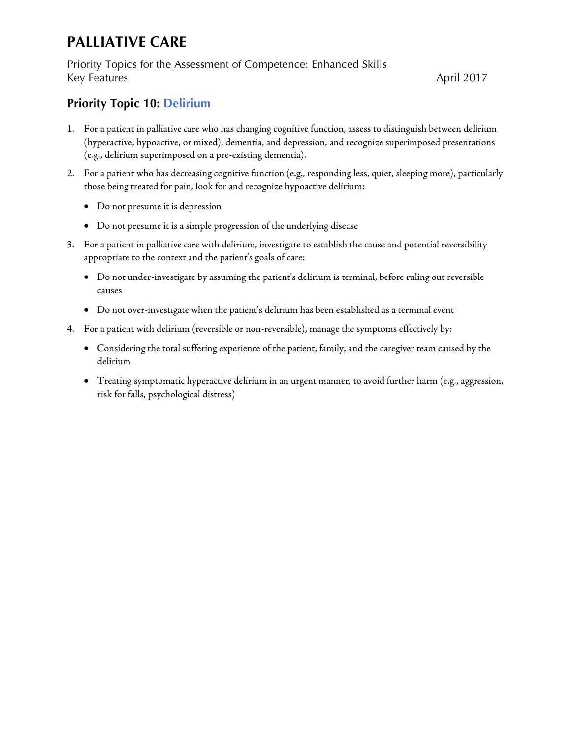Priority Topics for the Assessment of Competence: Enhanced Skills Key Features April 2017

### <span id="page-14-0"></span>**Priority Topic 10: Delirium**

- 1. For a patient in palliative care who has changing cognitive function, assess to distinguish between delirium (hyperactive, hypoactive, or mixed), dementia, and depression, and recognize superimposed presentations (e.g., delirium superimposed on a pre-existing dementia).
- 2. For a patient who has decreasing cognitive function (e.g., responding less, quiet, sleeping more), particularly those being treated for pain, look for and recognize hypoactive delirium:
	- Do not presume it is depression
	- Do not presume it is a simple progression of the underlying disease
- 3. For a patient in palliative care with delirium, investigate to establish the cause and potential reversibility appropriate to the context and the patient's goals of care:
	- Do not under-investigate by assuming the patient's delirium is terminal, before ruling out reversible causes
	- Do not over-investigate when the patient's delirium has been established as a terminal event
- 4. For a patient with delirium (reversible or non-reversible), manage the symptoms effectively by:
	- Considering the total suffering experience of the patient, family, and the caregiver team caused by the delirium
	- Treating symptomatic hyperactive delirium in an urgent manner, to avoid further harm (e.g., aggression, risk for falls, psychological distress)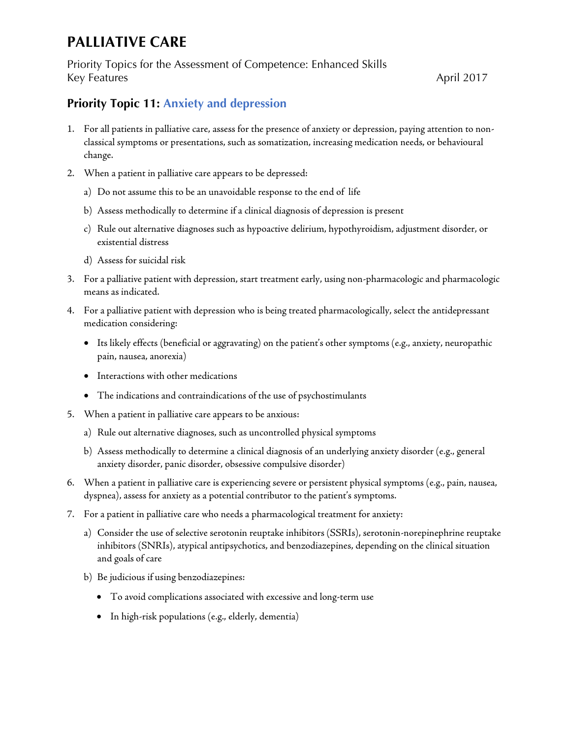Priority Topics for the Assessment of Competence: Enhanced Skills Key Features April 2017

### <span id="page-15-0"></span>**Priority Topic 11: Anxiety and depression**

- 1. For all patients in palliative care, assess for the presence of anxiety or depression, paying attention to nonclassical symptoms or presentations, such as somatization, increasing medication needs, or behavioural change.
- 2. When a patient in palliative care appears to be depressed:
	- a) Do not assume this to be an unavoidable response to the end of life
	- b) Assess methodically to determine if a clinical diagnosis of depression is present
	- c) Rule out alternative diagnoses such as hypoactive delirium, hypothyroidism, adjustment disorder, or existential distress
	- d) Assess for suicidal risk
- 3. For a palliative patient with depression, start treatment early, using non-pharmacologic and pharmacologic means as indicated.
- 4. For a palliative patient with depression who is being treated pharmacologically, select the antidepressant medication considering:
	- Its likely effects (beneficial or aggravating) on the patient's other symptoms (e.g., anxiety, neuropathic pain, nausea, anorexia)
	- Interactions with other medications
	- The indications and contraindications of the use of psychostimulants
- 5. When a patient in palliative care appears to be anxious:
	- a) Rule out alternative diagnoses, such as uncontrolled physical symptoms
	- b) Assess methodically to determine a clinical diagnosis of an underlying anxiety disorder (e.g., general anxiety disorder, panic disorder, obsessive compulsive disorder)
- 6. When a patient in palliative care is experiencing severe or persistent physical symptoms (e.g., pain, nausea, dyspnea), assess for anxiety as a potential contributor to the patient's symptoms.
- 7. For a patient in palliative care who needs a pharmacological treatment for anxiety:
	- a) Consider the use of selective serotonin reuptake inhibitors (SSRIs), serotonin-norepinephrine reuptake inhibitors (SNRIs), atypical antipsychotics, and benzodiazepines, depending on the clinical situation and goals of care
	- b) Be judicious if using benzodiazepines:
		- To avoid complications associated with excessive and long-term use
		- In high-risk populations (e.g., elderly, dementia)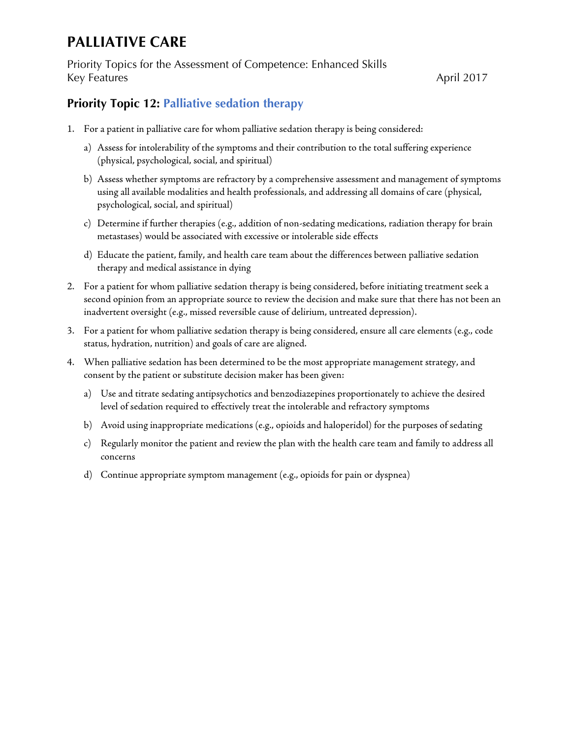Priority Topics for the Assessment of Competence: Enhanced Skills Key Features April 2017

### <span id="page-16-0"></span>**Priority Topic 12: Palliative sedation therapy**

- 1. For a patient in palliative care for whom palliative sedation therapy is being considered:
	- a) Assess for intolerability of the symptoms and their contribution to the total suffering experience (physical, psychological, social, and spiritual)
	- b) Assess whether symptoms are refractory by a comprehensive assessment and management of symptoms using all available modalities and health professionals, and addressing all domains of care (physical, psychological, social, and spiritual)
	- c) Determine if further therapies (e.g., addition of non-sedating medications, radiation therapy for brain metastases) would be associated with excessive or intolerable side effects
	- d) Educate the patient, family, and health care team about the differences between palliative sedation therapy and medical assistance in dying
- 2. For a patient for whom palliative sedation therapy is being considered, before initiating treatment seek a second opinion from an appropriate source to review the decision and make sure that there has not been an inadvertent oversight (e.g., missed reversible cause of delirium, untreated depression).
- 3. For a patient for whom palliative sedation therapy is being considered, ensure all care elements (e.g., code status, hydration, nutrition) and goals of care are aligned.
- 4. When palliative sedation has been determined to be the most appropriate management strategy, and consent by the patient or substitute decision maker has been given:
	- a) Use and titrate sedating antipsychotics and benzodiazepines proportionately to achieve the desired level of sedation required to effectively treat the intolerable and refractory symptoms
	- b) Avoid using inappropriate medications (e.g., opioids and haloperidol) for the purposes of sedating
	- c) Regularly monitor the patient and review the plan with the health care team and family to address all concerns
	- d) Continue appropriate symptom management (e.g., opioids for pain or dyspnea)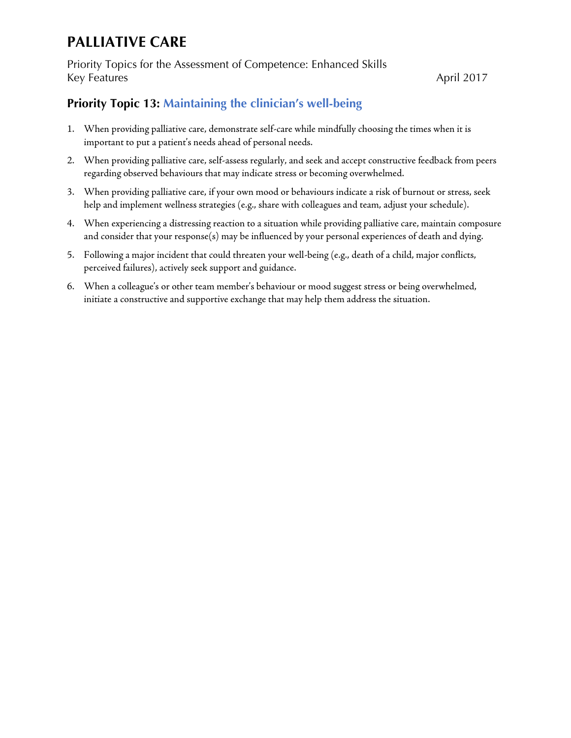Priority Topics for the Assessment of Competence: Enhanced Skills Key Features April 2017

### <span id="page-17-0"></span>**Priority Topic 13: Maintaining the clinician's well-being**

- 1. When providing palliative care, demonstrate self-care while mindfully choosing the times when it is important to put a patient's needs ahead of personal needs.
- 2. When providing palliative care, self-assess regularly, and seek and accept constructive feedback from peers regarding observed behaviours that may indicate stress or becoming overwhelmed.
- 3. When providing palliative care, if your own mood or behaviours indicate a risk of burnout or stress, seek help and implement wellness strategies (e.g., share with colleagues and team, adjust your schedule).
- 4. When experiencing a distressing reaction to a situation while providing palliative care, maintain composure and consider that your response(s) may be influenced by your personal experiences of death and dying.
- 5. Following a major incident that could threaten your well-being (e.g., death of a child, major conflicts, perceived failures), actively seek support and guidance.
- 6. When a colleague's or other team member's behaviour or mood suggest stress or being overwhelmed, initiate a constructive and supportive exchange that may help them address the situation.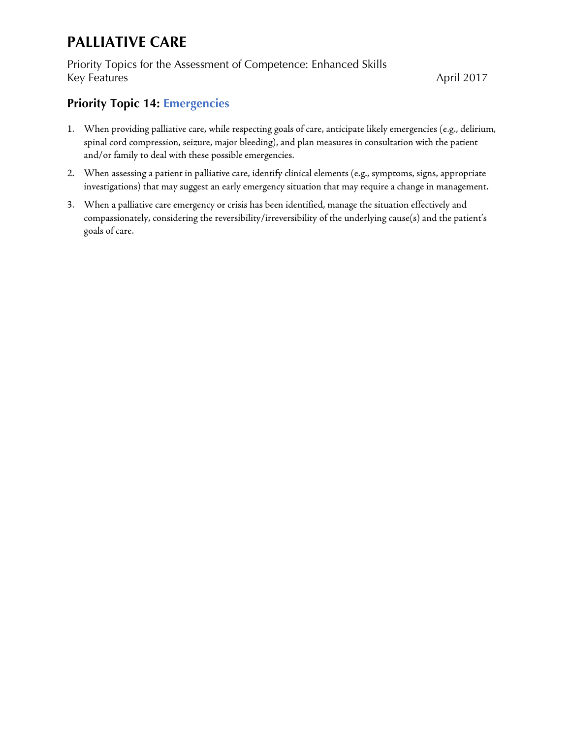Priority Topics for the Assessment of Competence: Enhanced Skills Key Features April 2017

### <span id="page-18-0"></span>**Priority Topic 14: Emergencies**

- 1. When providing palliative care, while respecting goals of care, anticipate likely emergencies (e.g., delirium, spinal cord compression, seizure, major bleeding), and plan measures in consultation with the patient and/or family to deal with these possible emergencies.
- 2. When assessing a patient in palliative care, identify clinical elements (e.g., symptoms, signs, appropriate investigations) that may suggest an early emergency situation that may require a change in management.
- 3. When a palliative care emergency or crisis has been identified, manage the situation effectively and compassionately, considering the reversibility/irreversibility of the underlying cause(s) and the patient's goals of care.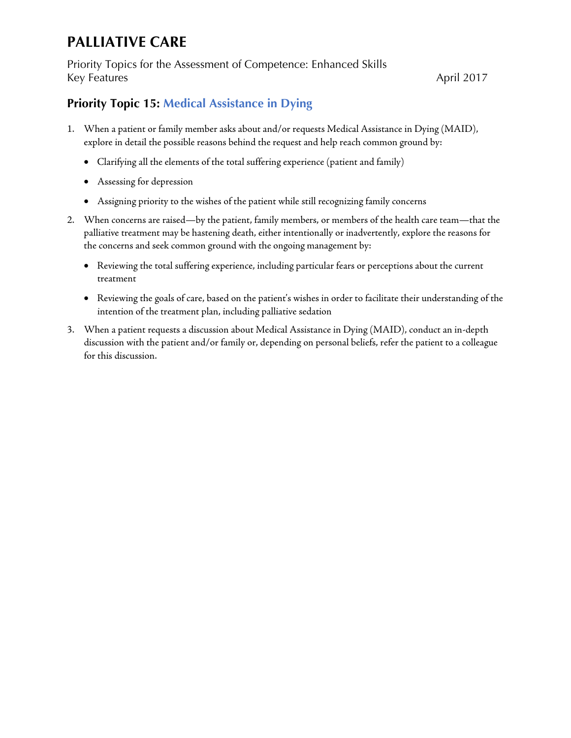Priority Topics for the Assessment of Competence: Enhanced Skills Key Features April 2017

### <span id="page-19-0"></span>**Priority Topic 15: Medical Assistance in Dying**

- 1. When a patient or family member asks about and/or requests Medical Assistance in Dying (MAID), explore in detail the possible reasons behind the request and help reach common ground by:
	- Clarifying all the elements of the total suffering experience (patient and family)
	- Assessing for depression
	- Assigning priority to the wishes of the patient while still recognizing family concerns
- 2. When concerns are raised—by the patient, family members, or members of the health care team—that the palliative treatment may be hastening death, either intentionally or inadvertently, explore the reasons for the concerns and seek common ground with the ongoing management by:
	- Reviewing the total suffering experience, including particular fears or perceptions about the current treatment
	- Reviewing the goals of care, based on the patient's wishes in order to facilitate their understanding of the intention of the treatment plan, including palliative sedation
- 3. When a patient requests a discussion about Medical Assistance in Dying (MAID), conduct an in-depth discussion with the patient and/or family or, depending on personal beliefs, refer the patient to a colleague for this discussion.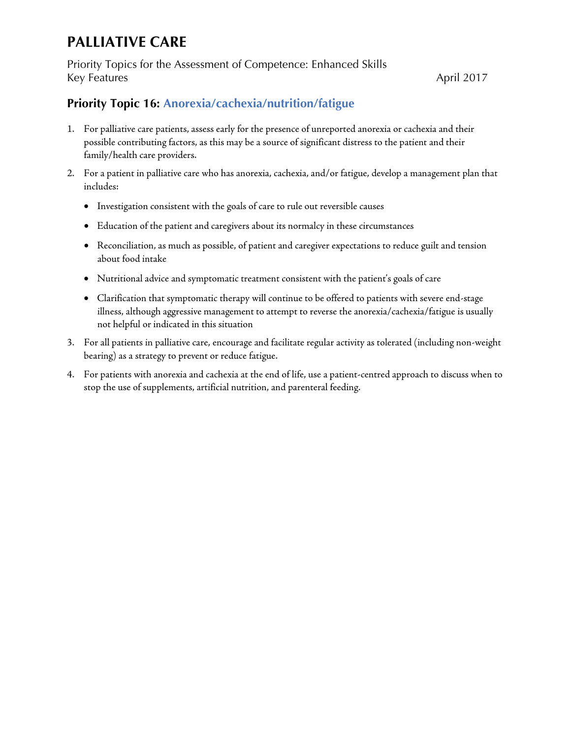Priority Topics for the Assessment of Competence: Enhanced Skills Key Features April 2017

### <span id="page-20-0"></span>**Priority Topic 16: Anorexia/cachexia/nutrition/fatigue**

- 1. For palliative care patients, assess early for the presence of unreported anorexia or cachexia and their possible contributing factors, as this may be a source of significant distress to the patient and their family/health care providers.
- 2. For a patient in palliative care who has anorexia, cachexia, and/or fatigue, develop a management plan that includes:
	- Investigation consistent with the goals of care to rule out reversible causes
	- Education of the patient and caregivers about its normalcy in these circumstances
	- Reconciliation, as much as possible, of patient and caregiver expectations to reduce guilt and tension about food intake
	- Nutritional advice and symptomatic treatment consistent with the patient's goals of care
	- Clarification that symptomatic therapy will continue to be offered to patients with severe end-stage illness, although aggressive management to attempt to reverse the anorexia/cachexia/fatigue is usually not helpful or indicated in this situation
- 3. For all patients in palliative care, encourage and facilitate regular activity as tolerated (including non-weight bearing) as a strategy to prevent or reduce fatigue.
- 4. For patients with anorexia and cachexia at the end of life, use a patient-centred approach to discuss when to stop the use of supplements, artificial nutrition, and parenteral feeding.